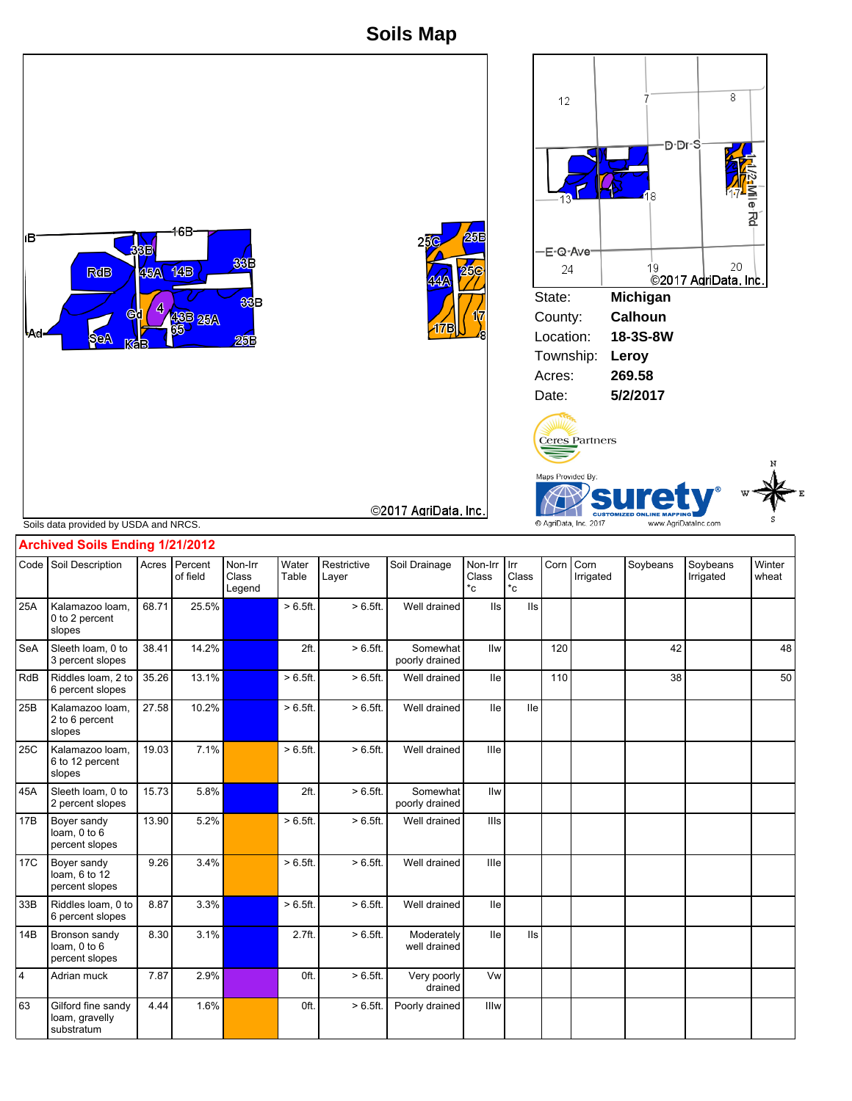**Soils Map**



substratum